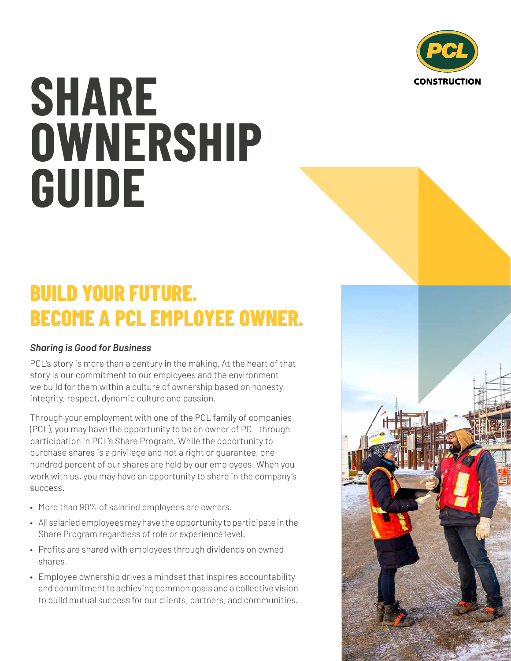

## **SHARE OWNERSHIP GUIDE**

## **BUILD YOUR FUTURE. BECOME A PCL EMPLOYEE OWNER.**

## *Sharing is Good for Business*

PCL's story is more than a century in the making. At the heart of that story is our commitment to our employees and the environment we build for them within a culture of ownership based on honesty, integrity, respect, dynamic culture and passion.

Through your employment with one of the PCL family of companies (PCL), you may have the opportunity to be an owner of PCL through participation in PCL's Share Program. While the opportunity to purchase shares is a privilege and not a right or guarantee, one hundred percent of our shares are held by our employees. When you work with us, you may have an opportunity to share in the company's success.

- More than 90% of salaried employees are owners.
- All salaried employees may have the opportunity to participate in the Share Program regardless of role or experience level.
- Profits are shared with employees through dividends on owned shares.
- Employee ownership drives a mindset that inspires accountability and commitment to achieving common goals and a collective vision to build mutual success for our clients, partners, and communities.